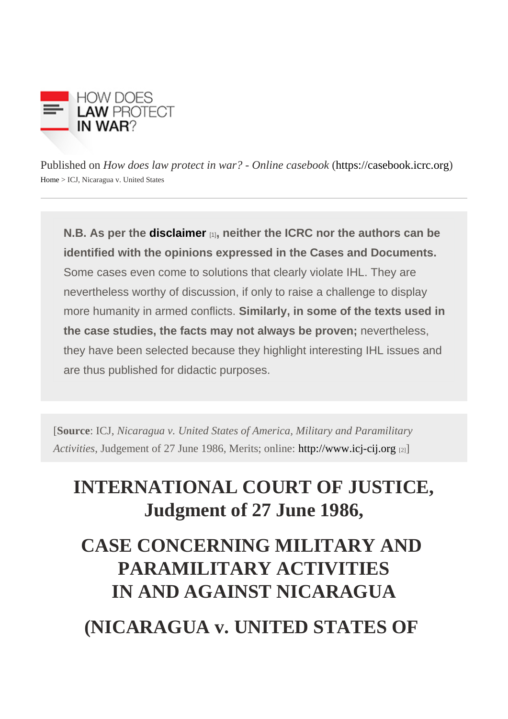Published on How does law protect in war? - Online caseboot these://caseb[ook](https://casebook.icrc.org).icrc.org Home> ICJ, Nicaragua v. United States

N.B. As per the [disclaimer](https://casebook.icrc.org/disclaimer-and-copyright)  $_{[1]}$ , neither the ICRC nor the authors can be identified with the opinions expressed in the Cases and Documents. Some cases even come to solutions that clearly violate IHL. They are nevertheless worthy of discussion, if only to raise a challenge to display more humanity in armed conflicts. Similarly, in some of the texts used in the case studies, the facts may not always be proven; nevertheless, they have been selected because they highlight interesting IHL issues and are thus published for didactic purposes.

[Source: ICJ, Nicaragua v. United States of America, Military and Paramilitary Activities, Judgement of 27 June 1986, Merits; onlinitip://www.icj-cij.org $_{[2]}$ ]

# INTERNATIONAL COURT OF JUSTICE, Judgment of 27 June 1986,

# CASE CONCERNING MILITARY AND PARAMILITARY ACTIVITIES IN AND AGAINST NICARAGUA

(NICARAGUA v. UNITED STATES OF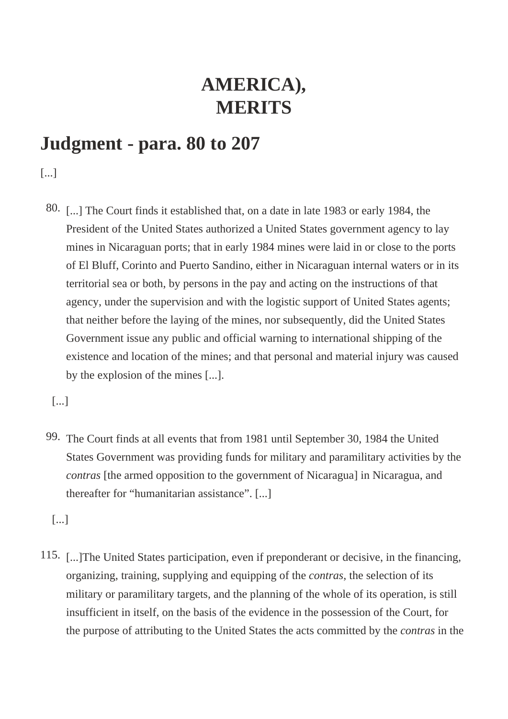# **AMERICA), MERITS**

### **Judgment - para. 80 to 207**

[...]

80. [...] The Court finds it established that, on a date in late 1983 or early 1984, the President of the United States authorized a United States government agency to lay mines in Nicaraguan ports; that in early 1984 mines were laid in or close to the ports of El Bluff, Corinto and Puerto Sandino, either in Nicaraguan internal waters or in its territorial sea or both, by persons in the pay and acting on the instructions of that agency, under the supervision and with the logistic support of United States agents; that neither before the laying of the mines, nor subsequently, did the United States Government issue any public and official warning to international shipping of the existence and location of the mines; and that personal and material injury was caused by the explosion of the mines [...].

[...]

99. The Court finds at all events that from 1981 until September 30, 1984 the United States Government was providing funds for military and paramilitary activities by the *contras* [the armed opposition to the government of Nicaragua] in Nicaragua, and thereafter for "humanitarian assistance". [...]

[...]

115. [...]The United States participation, even if preponderant or decisive, in the financing, organizing, training, supplying and equipping of the *contras*, the selection of its military or paramilitary targets, and the planning of the whole of its operation, is still insufficient in itself, on the basis of the evidence in the possession of the Court, for the purpose of attributing to the United States the acts committed by the *contras* in the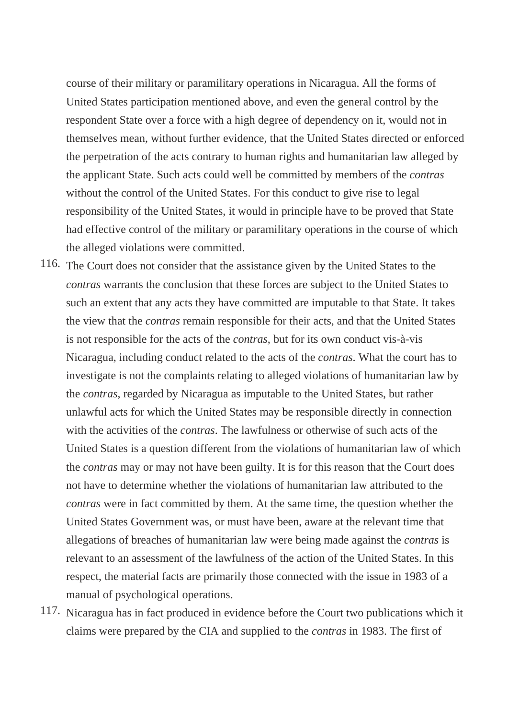course of their military or paramilitary operations in Nicaragua. All the forms of United States participation mentioned above, and even the general control by the respondent State over a force with a high degree of dependency on it, would not in themselves mean, without further evidence, that the United States directed or enforced the perpetration of the acts contrary to human rights and humanitarian law alleged by the applicant State. Such acts could well be committed by members of the *contras* without the control of the United States. For this conduct to give rise to legal responsibility of the United States, it would in principle have to be proved that State had effective control of the military or paramilitary operations in the course of which the alleged violations were committed.

- 116. The Court does not consider that the assistance given by the United States to the *contras* warrants the conclusion that these forces are subject to the United States to such an extent that any acts they have committed are imputable to that State. It takes the view that the *contras* remain responsible for their acts, and that the United States is not responsible for the acts of the *contras*, but for its own conduct vis-à-vis Nicaragua, including conduct related to the acts of the *contras*. What the court has to investigate is not the complaints relating to alleged violations of humanitarian law by the *contras*, regarded by Nicaragua as imputable to the United States, but rather unlawful acts for which the United States may be responsible directly in connection with the activities of the *contras*. The lawfulness or otherwise of such acts of the United States is a question different from the violations of humanitarian law of which the *contras* may or may not have been guilty. It is for this reason that the Court does not have to determine whether the violations of humanitarian law attributed to the *contras* were in fact committed by them. At the same time, the question whether the United States Government was, or must have been, aware at the relevant time that allegations of breaches of humanitarian law were being made against the *contras* is relevant to an assessment of the lawfulness of the action of the United States. In this respect, the material facts are primarily those connected with the issue in 1983 of a manual of psychological operations.
- 117. Nicaragua has in fact produced in evidence before the Court two publications which it claims were prepared by the CIA and supplied to the *contras* in 1983. The first of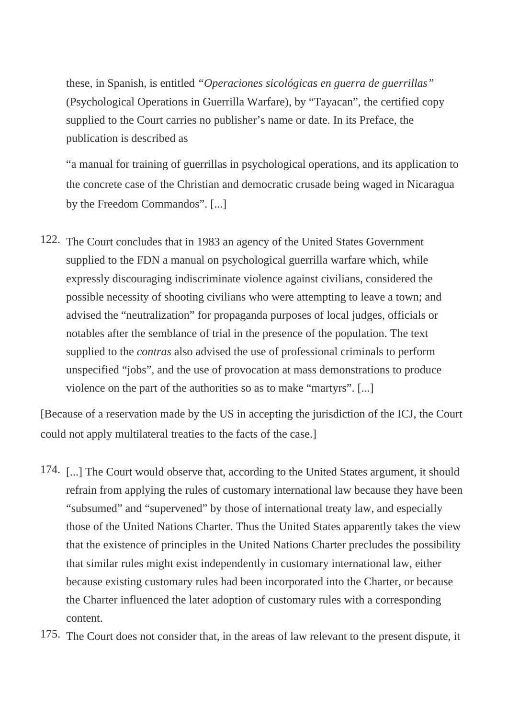these, in Spanish, is entitled *"Operaciones sicológicas en guerra de guerrillas"* (Psychological Operations in Guerrilla Warfare), by "Tayacan", the certified copy supplied to the Court carries no publisher's name or date. In its Preface, the publication is described as

"a manual for training of guerrillas in psychological operations, and its application to the concrete case of the Christian and democratic crusade being waged in Nicaragua by the Freedom Commandos". [...]

122. The Court concludes that in 1983 an agency of the United States Government supplied to the FDN a manual on psychological guerrilla warfare which, while expressly discouraging indiscriminate violence against civilians, considered the possible necessity of shooting civilians who were attempting to leave a town; and advised the "neutralization" for propaganda purposes of local judges, officials or notables after the semblance of trial in the presence of the population. The text supplied to the *contras* also advised the use of professional criminals to perform unspecified "jobs", and the use of provocation at mass demonstrations to produce violence on the part of the authorities so as to make "martyrs". [...]

[Because of a reservation made by the US in accepting the jurisdiction of the ICJ, the Court could not apply multilateral treaties to the facts of the case.]

- 174. [...] The Court would observe that, according to the United States argument, it should refrain from applying the rules of customary international law because they have been "subsumed" and "supervened" by those of international treaty law, and especially those of the United Nations Charter. Thus the United States apparently takes the view that the existence of principles in the United Nations Charter precludes the possibility that similar rules might exist independently in customary international law, either because existing customary rules had been incorporated into the Charter, or because the Charter influenced the later adoption of customary rules with a corresponding content.
- 175. The Court does not consider that, in the areas of law relevant to the present dispute, it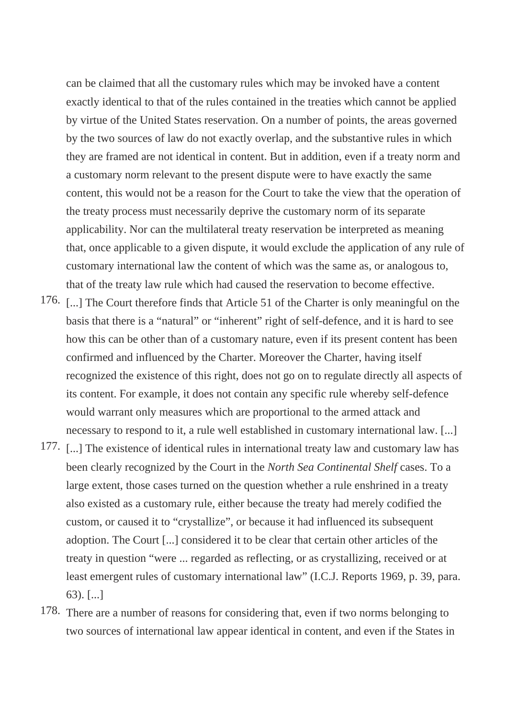can be claimed that all the customary rules which may be invoked have a content exactly identical to that of the rules contained in the treaties which cannot be applied by virtue of the United States reservation. On a number of points, the areas governed by the two sources of law do not exactly overlap, and the substantive rules in which they are framed are not identical in content. But in addition, even if a treaty norm and a customary norm relevant to the present dispute were to have exactly the same content, this would not be a reason for the Court to take the view that the operation of the treaty process must necessarily deprive the customary norm of its separate applicability. Nor can the multilateral treaty reservation be interpreted as meaning that, once applicable to a given dispute, it would exclude the application of any rule of customary international law the content of which was the same as, or analogous to, that of the treaty law rule which had caused the reservation to become effective.

- 176. [...] The Court therefore finds that Article 51 of the Charter is only meaningful on the basis that there is a "natural" or "inherent" right of self-defence, and it is hard to see how this can be other than of a customary nature, even if its present content has been confirmed and influenced by the Charter. Moreover the Charter, having itself recognized the existence of this right, does not go on to regulate directly all aspects of its content. For example, it does not contain any specific rule whereby self-defence would warrant only measures which are proportional to the armed attack and necessary to respond to it, a rule well established in customary international law. [...]
- 177. [...] The existence of identical rules in international treaty law and customary law has been clearly recognized by the Court in the *North Sea Continental Shelf* cases. To a large extent, those cases turned on the question whether a rule enshrined in a treaty also existed as a customary rule, either because the treaty had merely codified the custom, or caused it to "crystallize", or because it had influenced its subsequent adoption. The Court [...] considered it to be clear that certain other articles of the treaty in question "were ... regarded as reflecting, or as crystallizing, received or at least emergent rules of customary international law" (I.C.J. Reports 1969, p. 39, para. 63). [...]
- 178. There are a number of reasons for considering that, even if two norms belonging to two sources of international law appear identical in content, and even if the States in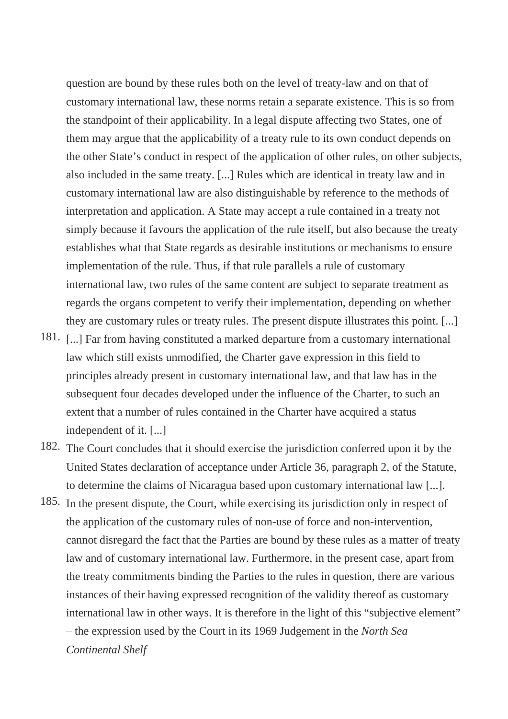question are bound by these rules both on the level of treaty-law and on that of customary international law, these norms retain a separate existence. This is so from the standpoint of their applicability. In a legal dispute affecting two States, one of them may argue that the applicability of a treaty rule to its own conduct depends on the other State's conduct in respect of the application of other rules, on other subjects, also included in the same treaty. [...] Rules which are identical in treaty law and in customary international law are also distinguishable by reference to the methods of interpretation and application. A State may accept a rule contained in a treaty not simply because it favours the application of the rule itself, but also because the treaty establishes what that State regards as desirable institutions or mechanisms to ensure implementation of the rule. Thus, if that rule parallels a rule of customary international law, two rules of the same content are subject to separate treatment as regards the organs competent to verify their implementation, depending on whether they are customary rules or treaty rules. The present dispute illustrates this point. [...]

- 181. [...] Far from having constituted a marked departure from a customary international law which still exists unmodified, the Charter gave expression in this field to principles already present in customary international law, and that law has in the subsequent four decades developed under the influence of the Charter, to such an extent that a number of rules contained in the Charter have acquired a status independent of it. [...]
- 182. The Court concludes that it should exercise the jurisdiction conferred upon it by the United States declaration of acceptance under Article 36, paragraph 2, of the Statute, to determine the claims of Nicaragua based upon customary international law [...].
- 185. In the present dispute, the Court, while exercising its jurisdiction only in respect of the application of the customary rules of non-use of force and non-intervention, cannot disregard the fact that the Parties are bound by these rules as a matter of treaty law and of customary international law. Furthermore, in the present case, apart from the treaty commitments binding the Parties to the rules in question, there are various instances of their having expressed recognition of the validity thereof as customary international law in other ways. It is therefore in the light of this "subjective element" – the expression used by the Court in its 1969 Judgement in the *North Sea Continental Shelf*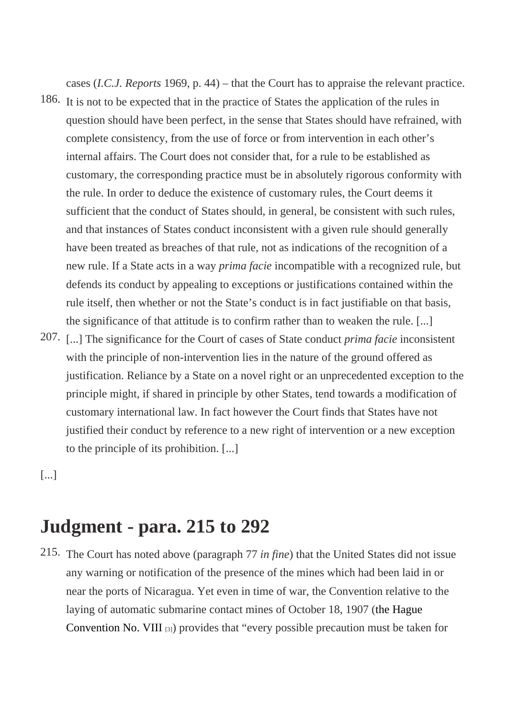cases  $(C.J.$  Reports 1969, p. 44) – that the Court has to appraise the relevant practice.

- 186. It is not to be expected that in the practice of States the application of the rules in question should have been perfect, in the sense that States should have refrained, with complete consistency, from the use of force or from intervention in each other's internal affairs. The Court does not consider that, for a rule to be established as customary, the corresponding practice must be in absolutely rigorous conformity with the rule. In order to deduce the existence of customary rules, the Court deems it sufficient that the conduct of States should, in general, be consistent with such rules, and that instances of States conduct inconsistent with a given rule should generally have been treated as breaches of that rule, not as indications of the recognition of a new rule. If a State acts in a way man facie incompatible with a recognized rule, but defends its conduct by appealing to exceptions or justifications contained within the rule itself, then whether or not the State's conduct is in fact justifiable on that basis, the significance of that attitude is to confirm rather than to weaken the rule. [...]
- 207. [...] The significance for the Court of cases of State corpition facie inconsistent with the principle of non-intervention lies in the nature of the ground offered as justification. Reliance by a State on a novel right or an unprecedented exception to the principle might, if shared in principle by other States, tend towards a modification of customary international law. In fact however the Court finds that States have not justified their conduct by reference to a new right of intervention or a new exception to the principle of its prohibition. [...]

[...]

### Judgment - para. 215 to 292

215. The Court has noted above (paragraplin 7ine) that the United States did not issue any warning or notification of the presence of the mines which had been laid in or near the ports of Nicaragua. Yet even in time of war, the Convention relative to the laying of automatic submarine contact mines of October 18, 1907 Hague [Convention No. VII](https://www.icrc.org/applic/ihl/ihl.nsf/INTRO/215)I<sub>[3]</sub>) provides that "every possible precaution must be taken for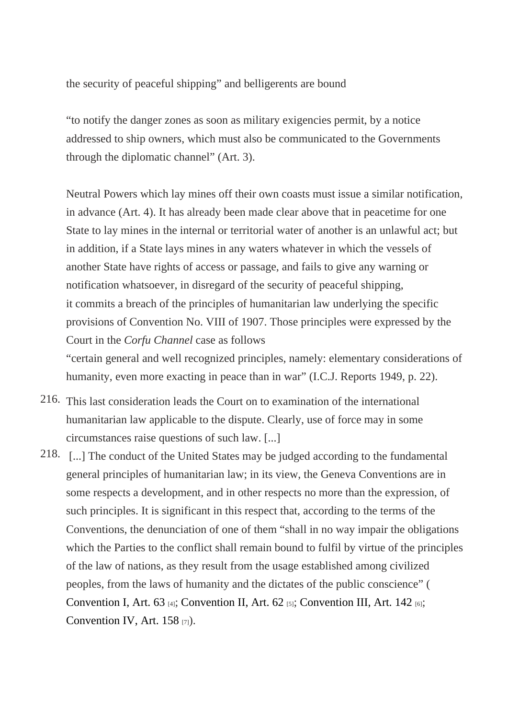the security of peaceful shipping" and belligerents are bound

"to notify the danger zones as soon as military exigencies permit, by a notice addressed to ship owners, which must also be communicated to the Governments through the diplomatic channel" (Art. 3).

Neutral Powers which lay mines off their own coasts must issue a simular faction, in advance (Art. 4). It has already been made clear above that in peacetime for one State to lay mines in the internal or territorial water of another is an unlawful act; but in addition, if a State lays mines in any waters whatever in which the vessels of another State have rights of access or passage, and fails to give any warning or notification whatsoever, in disregard of the security of peaceful shipping, it commits a breach of the principles of humanitarian law underlying the specific provisions of Convention No. VIII of 1907. Those principles were expressed by the Court in the Corfu Channe case as follows

"certain general and well recognized principles, namely: elementary considections humanity, even more exacting in peace than in war" (I.C.J. Reports 1949, p. 22).

- 216. This last consideration leads the Court on to examination of the international humanitarian law applicable to the dispute. Clearly, use of force may in some circumstances raise questions of such law. [...]
- 218. [...] The conduct of the United States may be judged according to the fundamental general principles of humanitarian law; in its view, the Geneva Conventions are in some respects a development, and in other respects no more than the expression, of such principles. It is significant in this respect that, according to the terms of the Conventions, the denunciation of one of them "shall in no way impair the obligations which the Parties to the conflict shall remain bound to fulfil by virtue of the principles of the law of nations, as they result from the usage established among civilized peoples, from the laws of humanity and the dictates of the public conscience" ( [Convention I, Art. 6](https://www.icrc.org/applic/ihl/ihl.nsf/Article.xsp?action=openDocument&documentId=1019C76849BB95ECC12563CD0051A3AC) $34$ <sub>1</sub>; [Convention II, Art. 62](https://www.icrc.org/applic/ihl/ihl.nsf/Article.xsp?action=openDocument&documentId=691BB45CFA8B2650C12563CD0051A9F1) $5$ <sub>5</sub>; [Convention III, Art. 142](https://www.icrc.org/applic/ihl/ihl.nsf/Article.xsp?action=openDocument&documentId=21ABCE5C723889A3C12563CD0051B6A6) $6$ <sub>5</sub>; Convention IV, Art.  $15\frac{a}{10}$ .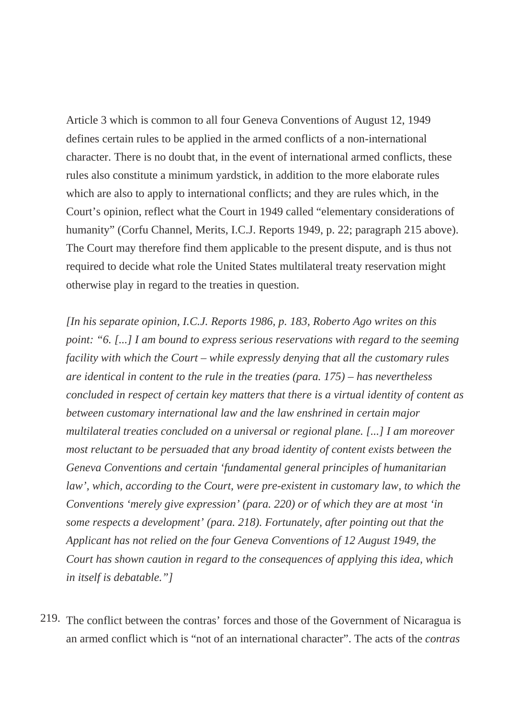Article 3 which is common to all four Geneva Conventions of August 12, 1949 defines certain rules to be applied in the armed conflicts of a non-international character. There is no doubt that, in the event of international armed conflicts, these rules also constitute a minimum yardstick, in addition to the more elaborate rules which are also to apply to international conflicts; and they are rules which, in the Court's opinion, reflect what the Court in 1949 called "elementary considerations of humanity" (Corfu Channel, Merits, I.C.J. Reports 1949, p. 22; paragraph 215 above). The Court may therefore find them applicable to the present dispute, and is thus not required to decide what role the United States multilateral treaty reservation might otherwise play in regard to the treaties in question.

*[In his separate opinion, I.C.J. Reports 1986, p. 183, Roberto Ago writes on this point: "6. [...] I am bound to express serious reservations with regard to the seeming facility with which the Court – while expressly denying that all the customary rules are identical in content to the rule in the treaties (para. 175) – has nevertheless concluded in respect of certain key matters that there is a virtual identity of content as between customary international law and the law enshrined in certain major multilateral treaties concluded on a universal or regional plane. [...] I am moreover most reluctant to be persuaded that any broad identity of content exists between the Geneva Conventions and certain 'fundamental general principles of humanitarian*  law', which, according to the Court, were pre-existent in customary law, to which the *Conventions 'merely give expression' (para. 220) or of which they are at most 'in some respects a development' (para. 218). Fortunately, after pointing out that the Applicant has not relied on the four Geneva Conventions of 12 August 1949, the Court has shown caution in regard to the consequences of applying this idea, which in itself is debatable."]*

219. The conflict between the contras' forces and those of the Government of Nicaragua is an armed conflict which is "not of an international character". The acts of the *contras*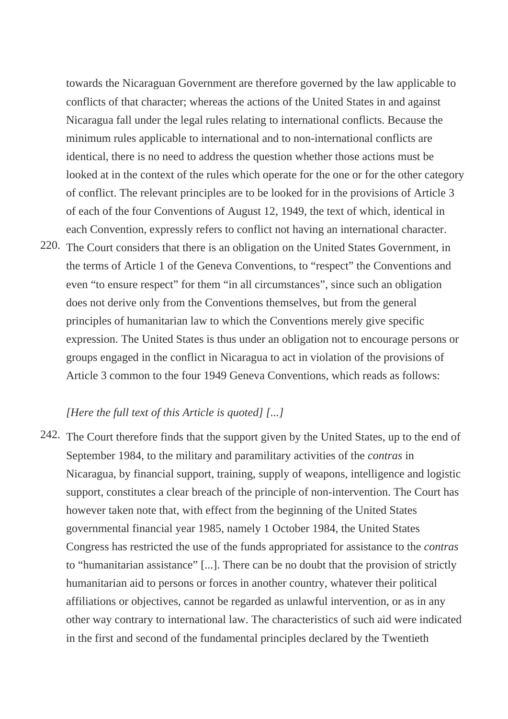towards the Nicaraguan Government are therefore governed by the law applicable to conflicts of that character; whereas the actions of the United States in and against Nicaragua fall under the legal rules relating to international conflicts. Because the minimum rules applicable to international and to non-international conflicts are identical, there is no need to address the question whether those actions must be looked at in the context of the rules which operate for the one or for the other category of conflict. The relevant principles are to be looked for in the provisions of Article 3 of each of the four Conventions of August 12, 1949, the text of which, identical in each Convention, expressly refers to conflict not having an international character.

220. The Court considers that there is an obligation on the United States Government, in the terms of Article 1 of the Geneva Conventions, to "respect" the Conventions and even "to ensure respect" for them "in all circumstances", since such an obligation does not derive only from the Conventions themselves, but from the general principles of humanitarian law to which the Conventions merely give specific expression. The United States is thus under an obligation not to encourage persons or groups engaged in the conflict in Nicaragua to act in violation of the provisions of Article 3 common to the four 1949 Geneva Conventions, which reads as follows:

#### *[Here the full text of this Article is quoted] [...]*

242. The Court therefore finds that the support given by the United States, up to the end of September 1984, to the military and paramilitary activities of the *contras* in Nicaragua, by financial support, training, supply of weapons, intelligence and logistic support, constitutes a clear breach of the principle of non-intervention. The Court has however taken note that, with effect from the beginning of the United States governmental financial year 1985, namely 1 October 1984, the United States Congress has restricted the use of the funds appropriated for assistance to the *contras* to "humanitarian assistance" [...]. There can be no doubt that the provision of strictly humanitarian aid to persons or forces in another country, whatever their political affiliations or objectives, cannot be regarded as unlawful intervention, or as in any other way contrary to international law. The characteristics of such aid were indicated in the first and second of the fundamental principles declared by the Twentieth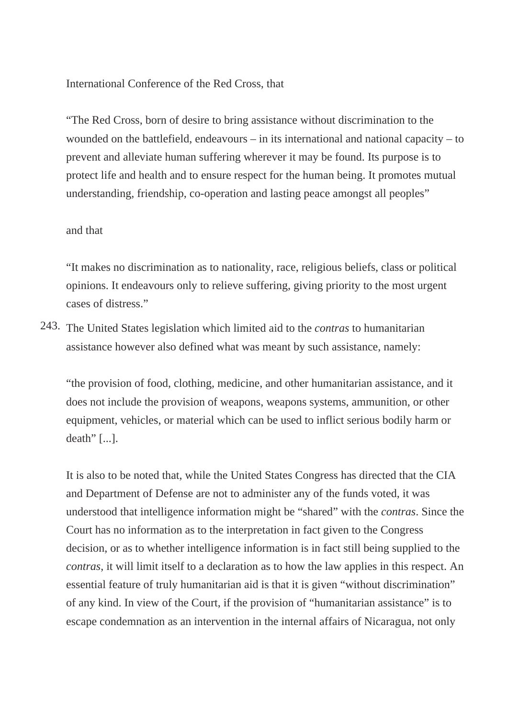International Conference of the Red Cross, that

"The Red Cross, born of desire to bring assistance without discrimination to the wounded on the battlefield, endeavours – in its international and national capacity – to prevent and alleviate human suffering wherever it may be found. Its purpose is to protect life and health and to ensure respect for the human being. It promotes mutual understanding, friendship, co-operation and lasting peace amongst all peoples"

#### and that

"It makes no discrimination as to nationality, race, religious beliefs, class or political opinions. It endeavours only to relieve suffering, giving priority to the most urgent cases of distress."

243. The United States legislation which limited aid to the *contras* to humanitarian assistance however also defined what was meant by such assistance, namely:

"the provision of food, clothing, medicine, and other humanitarian assistance, and it does not include the provision of weapons, weapons systems, ammunition, or other equipment, vehicles, or material which can be used to inflict serious bodily harm or death" [...].

It is also to be noted that, while the United States Congress has directed that the CIA and Department of Defense are not to administer any of the funds voted, it was understood that intelligence information might be "shared" with the *contras*. Since the Court has no information as to the interpretation in fact given to the Congress decision, or as to whether intelligence information is in fact still being supplied to the *contras*, it will limit itself to a declaration as to how the law applies in this respect. An essential feature of truly humanitarian aid is that it is given "without discrimination" of any kind. In view of the Court, if the provision of "humanitarian assistance" is to escape condemnation as an intervention in the internal affairs of Nicaragua, not only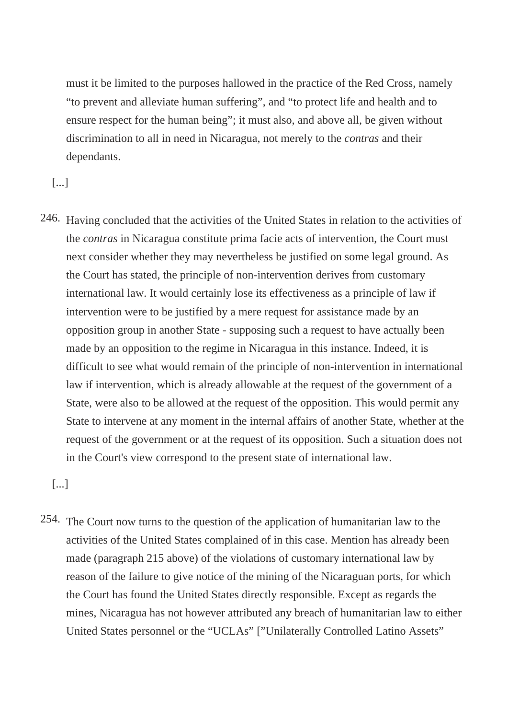must it be limited to the purposes hallowed in the practice of the Red Cross, namely "to prevent and alleviate human suffering", and "to protect life and health and to ensure respect for the human being"; it must also, and above all, be given without discrimination to all in need in Nicaragua, not merely to the *contras* and their dependants.

[...]

246. Having concluded that the activities of the United States in relation to the activities of the *contras* in Nicaragua constitute prima facie acts of intervention, the Court must next consider whether they may nevertheless be justified on some legal ground. As the Court has stated, the principle of non-intervention derives from customary international law. It would certainly lose its effectiveness as a principle of law if intervention were to be justified by a mere request for assistance made by an opposition group in another State - supposing such a request to have actually been made by an opposition to the regime in Nicaragua in this instance. Indeed, it is difficult to see what would remain of the principle of non-intervention in international law if intervention, which is already allowable at the request of the government of a State, were also to be allowed at the request of the opposition. This would permit any State to intervene at any moment in the internal affairs of another State, whether at the request of the government or at the request of its opposition. Such a situation does not in the Court's view correspond to the present state of international law.

[...]

254. The Court now turns to the question of the application of humanitarian law to the activities of the United States complained of in this case. Mention has already been made (paragraph 215 above) of the violations of customary international law by reason of the failure to give notice of the mining of the Nicaraguan ports, for which the Court has found the United States directly responsible. Except as regards the mines, Nicaragua has not however attributed any breach of humanitarian law to either United States personnel or the "UCLAs" ["Unilaterally Controlled Latino Assets"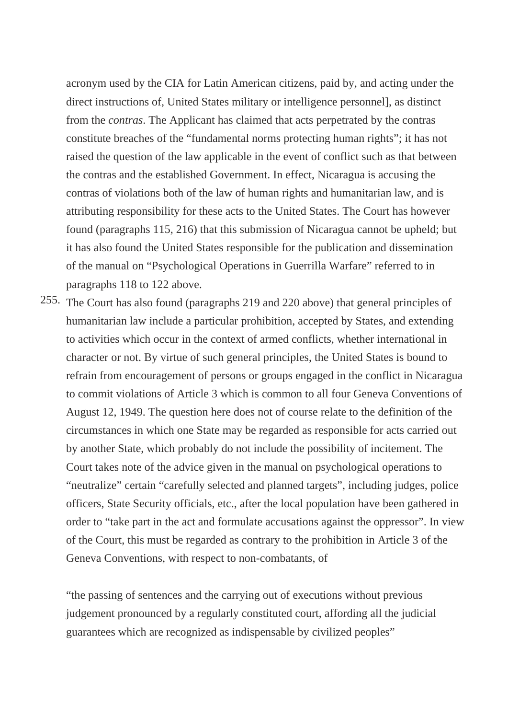acronym used by the CIA for Latin American citizens, paid by, and acting under the direct instructions of, United States military or intelligence personnel], as distinct from the *contras*. The Applicant has claimed that acts perpetrated by the contras constitute breaches of the "fundamental norms protecting human rights"; it has not raised the question of the law applicable in the event of conflict such as that between the contras and the established Government. In effect, Nicaragua is accusing the contras of violations both of the law of human rights and humanitarian law, and is attributing responsibility for these acts to the United States. The Court has however found (paragraphs 115, 216) that this submission of Nicaragua cannot be upheld; but it has also found the United States responsible for the publication and dissemination of the manual on "Psychological Operations in Guerrilla Warfare" referred to in paragraphs 118 to 122 above.

255. The Court has also found (paragraphs 219 and 220 above) that general principles of humanitarian law include a particular prohibition, accepted by States, and extending to activities which occur in the context of armed conflicts, whether international in character or not. By virtue of such general principles, the United States is bound to refrain from encouragement of persons or groups engaged in the conflict in Nicaragua to commit violations of Article 3 which is common to all four Geneva Conventions of August 12, 1949. The question here does not of course relate to the definition of the circumstances in which one State may be regarded as responsible for acts carried out by another State, which probably do not include the possibility of incitement. The Court takes note of the advice given in the manual on psychological operations to "neutralize" certain "carefully selected and planned targets", including judges, police officers, State Security officials, etc., after the local population have been gathered in order to "take part in the act and formulate accusations against the oppressor". In view of the Court, this must be regarded as contrary to the prohibition in Article 3 of the Geneva Conventions, with respect to non-combatants, of

"the passing of sentences and the carrying out of executions without previous judgement pronounced by a regularly constituted court, affording all the judicial guarantees which are recognized as indispensable by civilized peoples"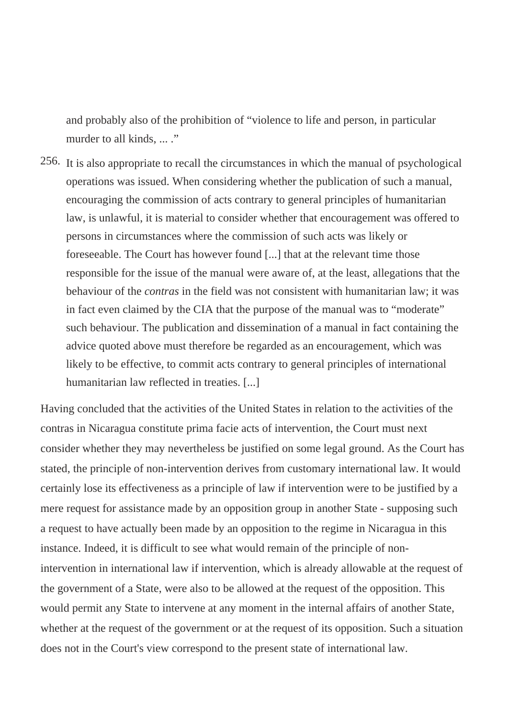and probably also of the prohibition of "violence to life and person, in particular murder to all kinds, ... ."

256. It is also appropriate to recall the circumstances in which the manual of psychological operations was issued. When considering whether the publication of such a manual, encouraging the commission of acts contrary to general principles of humanitarian law, is unlawful, it is material to consider whether that encouragement was offered to persons in circumstances where the commission of such acts was likely or foreseeable. The Court has however found [...] that at the relevant time those responsible for the issue of the manual were aware of, at the least, allegations that the behaviour of the *contras* in the field was not consistent with humanitarian law; it was in fact even claimed by the CIA that the purpose of the manual was to "moderate" such behaviour. The publication and dissemination of a manual in fact containing the advice quoted above must therefore be regarded as an encouragement, which was likely to be effective, to commit acts contrary to general principles of international humanitarian law reflected in treaties. [...]

Having concluded that the activities of the United States in relation to the activities of the contras in Nicaragua constitute prima facie acts of intervention, the Court must next consider whether they may nevertheless be justified on some legal ground. As the Court has stated, the principle of non-intervention derives from customary international law. It would certainly lose its effectiveness as a principle of law if intervention were to be justified by a mere request for assistance made by an opposition group in another State - supposing such a request to have actually been made by an opposition to the regime in Nicaragua in this instance. Indeed, it is difficult to see what would remain of the principle of nonintervention in international law if intervention, which is already allowable at the request of the government of a State, were also to be allowed at the request of the opposition. This would permit any State to intervene at any moment in the internal affairs of another State, whether at the request of the government or at the request of its opposition. Such a situation does not in the Court's view correspond to the present state of international law.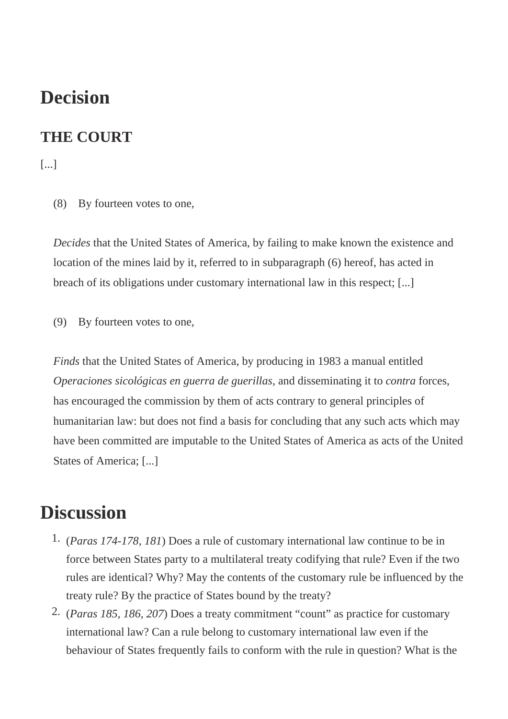## **Decision**

### **THE COURT**

[...]

(8) By fourteen votes to one,

*Decides* that the United States of America, by failing to make known the existence and location of the mines laid by it, referred to in subparagraph (6) hereof, has acted in breach of its obligations under customary international law in this respect; [...]

(9) By fourteen votes to one,

*Finds* that the United States of America, by producing in 1983 a manual entitled *Operaciones sicológicas en guerra de guerillas*, and disseminating it to *contra* forces, has encouraged the commission by them of acts contrary to general principles of humanitarian law: but does not find a basis for concluding that any such acts which may have been committed are imputable to the United States of America as acts of the United States of America; [...]

### **Discussion**

- 1. (*Paras 174-178, 181*) Does a rule of customary international law continue to be in force between States party to a multilateral treaty codifying that rule? Even if the two rules are identical? Why? May the contents of the customary rule be influenced by the treaty rule? By the practice of States bound by the treaty?
- 2. (*Paras 185, 186, 207*) Does a treaty commitment "count" as practice for customary international law? Can a rule belong to customary international law even if the behaviour of States frequently fails to conform with the rule in question? What is the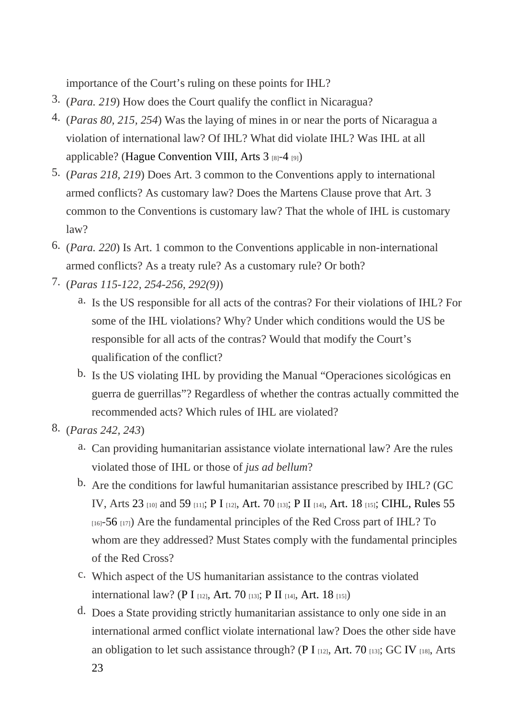importance of the Court's ruling on these points for IHL?

- 3. (Para. 219) How does the Court qualify the conflict in Nicaragua?
- 4. (Paras 80, 215, 254 Was the laying of mines in or near the ports of Nicaragua a violation of international law? Of IHL? What did violate IHL? Was IHL at all applicable? Haque Convention VIII, Arts  $\mathfrak{g}_1$ [-4](https://www.icrc.org/applic/ihl/ihl.nsf/Article.xsp?action=openDocument&documentId=473982EE7B200A02C12563CD00516CED) [9])
- 5. (Paras 218, 219) Does Art. 3 common to the Conventions apply to international armed conflicts? As customary law? Does the Martens Clause prove that Art. 3 common to the Conventions is customary law? That the whole of IHL is customary law?
- 6. (Para. 220) Is Art. 1 common to the Conventions applicable in non-international armed conflicts? As a treaty rule? As a customary rule? Or both?
- 7. (Paras 115-122, 254-256, 292(9) )
	- a. Is the US responsible for all acts of the contras? For their violations of IHL? For some of the IHL violations? Why? Under which conditions would the US be responsible for all acts of the contras? Would that modify the Court's qualification of the conflict?
	- b. Is the US violating IHL by providing the Manual "Operaciones sicológicas en guerra de guerrillas"? Regardless of whether the contras actually committed the recommended acts? Which rules of IHL are violated?
- 8. (Paras 242, 243)
	- a. Can providing humanitarian assistance violate international law? Are the rules violated those of IHL or those *pifs* ad bellum?
	- b. Are the conditions for lawful humanitarian assistance prescribed by IHL? (GC IV, Arts [23](https://ihl-databases.icrc.org/applic/ihl/ihl.nsf/Article.xsp?action=openDocument&documentId=4FBC9DEAB064E2B7C12563CD0051BB76)<sub>[10]</sub> an[d 59](https://ihl-databases.icrc.org/applic/ihl/ihl.nsf/Article.xsp?action=openDocument&documentId=EDA33BAD877F6183C12563CD0051BE90)<sub>[11]</sub>; [P I](https://ihl-databases.icrc.org/applic/ihl/ihl.nsf/Treaty.xsp?documentId=D9E6B6264D7723C3C12563CD002D6CE4&action=openDocument)<sub>[12]</sub>, [Art. 70](https://ihl-databases.icrc.org/applic/ihl/ihl.nsf/Article.xsp?action=openDocument&documentId=609876DAFD3EEEACC12563CD0051DF9A)<sub>[13]</sub>; [P II](https://ihl-databases.icrc.org/applic/ihl/ihl.nsf/Treaty.xsp?documentId=AA0C5BCBAB5C4A85C12563CD002D6D09&action=openDocument)<sub>[14]</sub>, [Art. 18](https://ihl-databases.icrc.org/applic/ihl/ihl.nsf/Article.xsp?action=openDocument&documentId=C97EBA985969303BC12563CD0051E90B)<sub>[15]</sub>; [CIHL, Rules 55](https://ihl-databases.icrc.org/customary-ihl/eng/docs/v1_rul_rule55) [16][-56](https://ihl-databases.icrc.org/customary-ihl/eng/docs/v1_rul_rule56)<sub>[17]</sub>) Are the fundamental principles of the Red Cross part of IHL? To whom are they addressed? Must States comply with the fundamental principles of the Red Cross?
	- c. Which aspect of the US humanitarian assistance to the contras violated international law? $P( I_{1121}, Art. 70_{1131}; P II_{1141}, Art. 18_{1151})$  $P( I_{1121}, Art. 70_{1131}; P II_{1141}, Art. 18_{1151})$  $P( I_{1121}, Art. 70_{1131}; P II_{1141}, Art. 18_{1151})$  $P( I_{1121}, Art. 70_{1131}; P II_{1141}, Art. 18_{1151})$  $P( I_{1121}, Art. 70_{1131}; P II_{1141}, Art. 18_{1151})$  $P( I_{1121}, Art. 70_{1131}; P II_{1141}, Art. 18_{1151})$  $P( I_{1121}, Art. 70_{1131}; P II_{1141}, Art. 18_{1151})$
	- d. Does a State providing strictly humanitarian assistance to only one side in an international armed conflict violate international law? Does the other side have an obligation to let such assistance through  $P_{[16]}$ , [Art. 70](https://ihl-databases.icrc.org/applic/ihl/ihl.nsf/Article.xsp?action=openDocument&documentId=609876DAFD3EEEACC12563CD0051DF9A) $_{[13]}$ ; GC [IV](https://ihl-databases.icrc.org/applic/ihl/ihl.nsf/Treaty.xsp?documentId=AE2D398352C5B028C12563CD002D6B5C&action=openDocument)  $_{[18]}$ , Arts